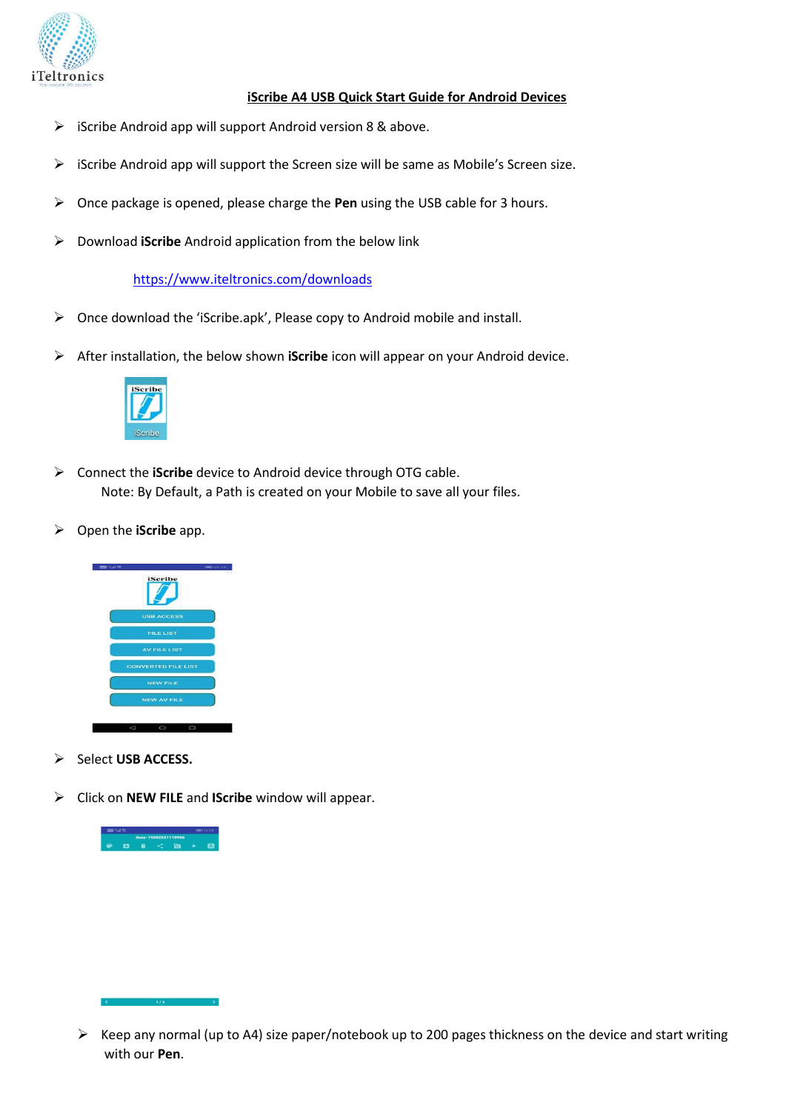

## **iScribe A4 USB Quick Start Guide for Android Devices**

- ➢ iScribe Android app will support Android version 8 & above.
- ➢ iScribe Android app will support the Screen size will be same as Mobile's Screen size.
- ➢ Once package is opened, please charge the **Pen** using the USB cable for 3 hours.
- ➢ Download **iScribe** Android application from the below link

<https://www.iteltronics.com/downloads>

- ➢ Once download the 'iScribe.apk', Please copy to Android mobile and install.
- ➢ After installation, the below shown **iScribe** icon will appear on your Android device.



- ➢ Connect the **iScribe** device to Android device through OTG cable. Note: By Default, a Path is created on your Mobile to save all your files.
- ➢ Open the **iScribe** app.



- ➢ Select **USB ACCESS.**
- ➢ Click on **NEW FILE** and **IScribe** window will appear.



<sup>➢</sup> Keep any normal (up to A4) size paper/notebook up to 200 pages thickness on the device and start writing with our **Pen**.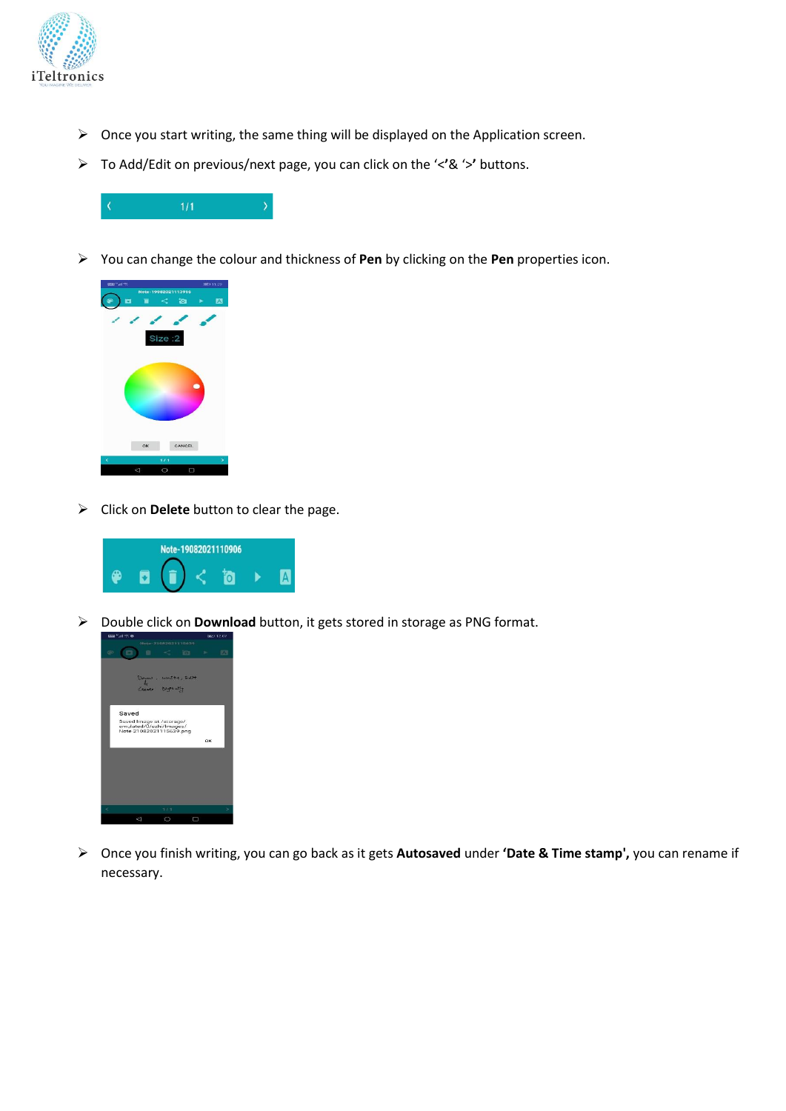

- ➢ Once you start writing, the same thing will be displayed on the Application screen.
- ➢ To Add/Edit on previous/next page, you can click on the '<**'**& '>**'** buttons.



➢ You can change the colour and thickness of **Pen** by clicking on the **Pen** properties icon.



➢ Click on **Delete** button to clear the page.



➢ Double click on **Download** button, it gets stored in storage as PNG format.



➢ Once you finish writing, you can go back as it gets **Autosaved** under **'Date & Time stamp',** you can rename if necessary.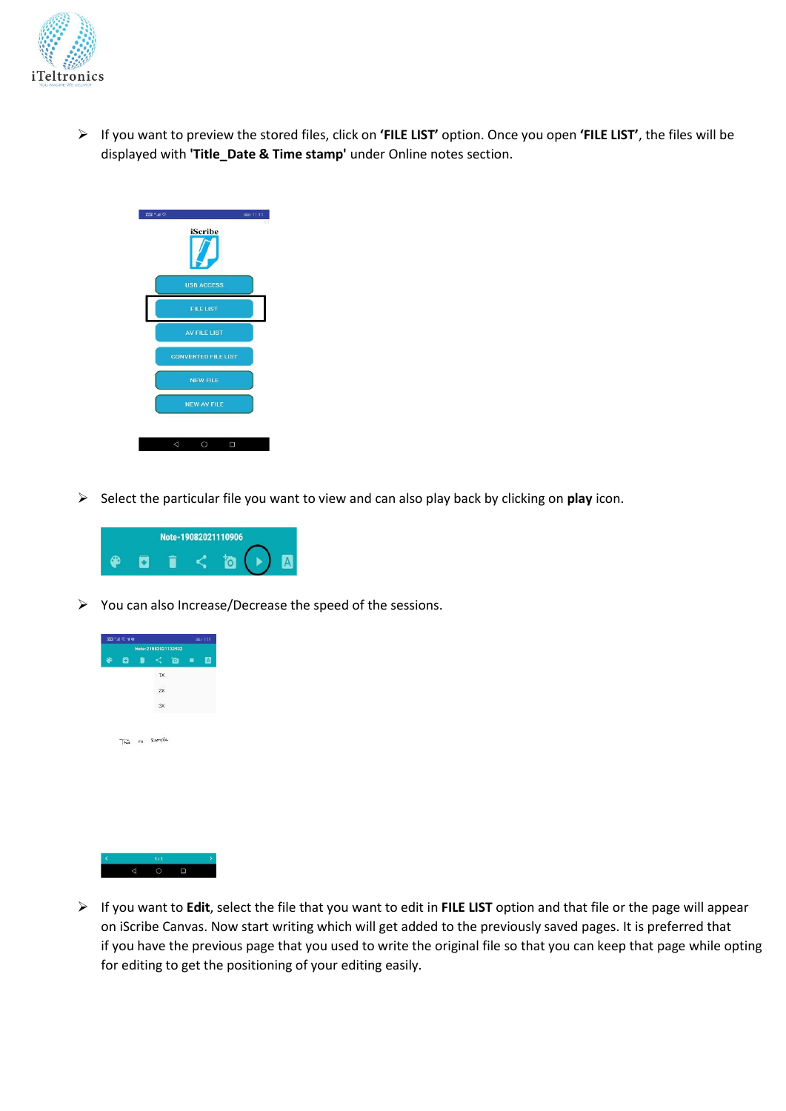

➢ If you want to preview the stored files, click on **'FILE LIST'** option. Once you open **'FILE LIST'**, the files will be displayed with **'Title\_Date & Time stamp'** under Online notes section.



➢ Select the particular file you want to view and can also play back by clicking on **play** icon.



➢ You can also Increase/Decrease the speed of the sessions.



➢ If you want to **Edit**, select the file that you want to edit in **FILE LIST** option and that file or the page will appear on iScribe Canvas. Now start writing which will get added to the previously saved pages. It is preferred that if you have the previous page that you used to write the original file so that you can keep that page while opting for editing to get the positioning of your editing easily.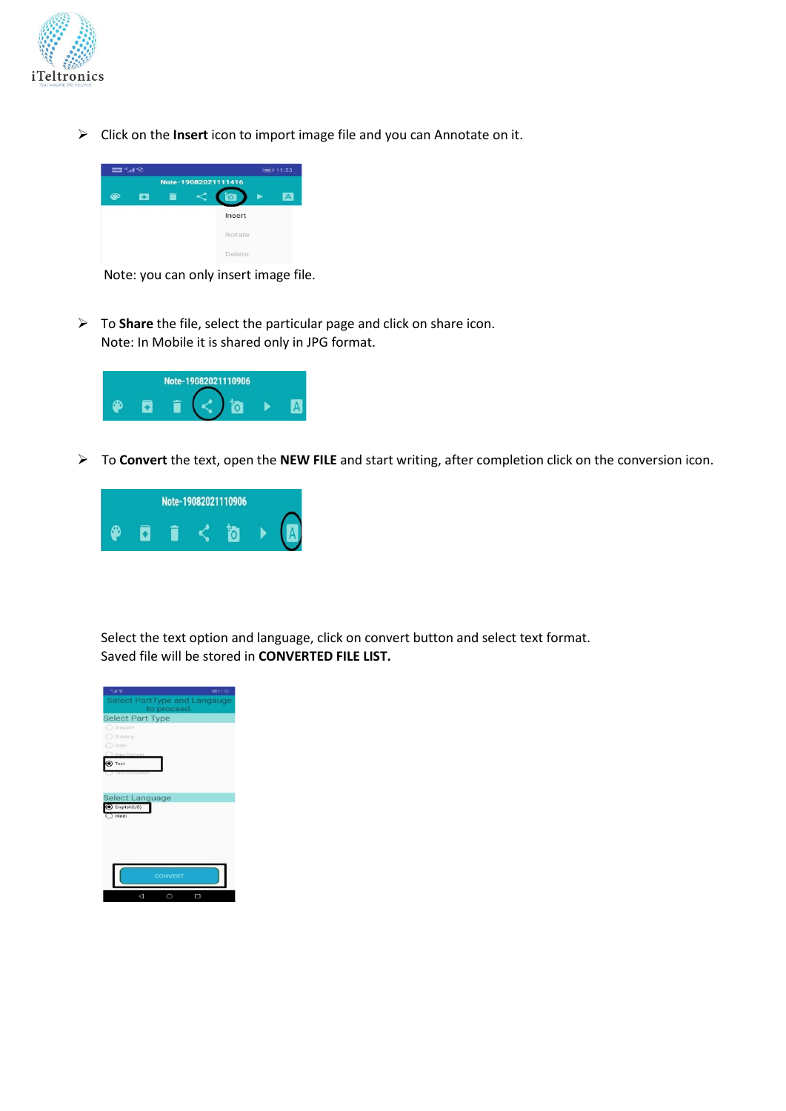

➢ Click on the **Insert** icon to import image file and you can Annotate on it.



Note: you can only insert image file.

➢ To **Share** the file, select the particular page and click on share icon. Note: In Mobile it is shared only in JPG format.



➢ To **Convert** the text, open the **NEW FILE** and start writing, after completion click on the conversion icon.



Select the text option and language, click on convert button and select text format. Saved file will be stored in **CONVERTED FILE LIST.**